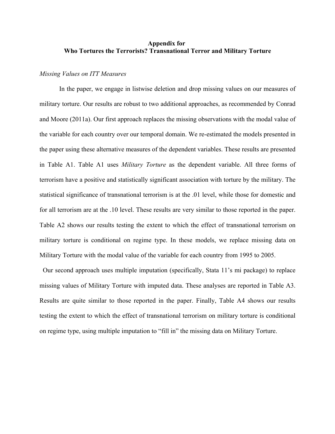#### **Appendix for Who Tortures the Terrorists? Transnational Terror and Military Torture**

#### *Missing Values on ITT Measures*

In the paper, we engage in listwise deletion and drop missing values on our measures of military torture. Our results are robust to two additional approaches, as recommended by Conrad and Moore (2011a). Our first approach replaces the missing observations with the modal value of the variable for each country over our temporal domain. We re-estimated the models presented in the paper using these alternative measures of the dependent variables. These results are presented in Table A1. Table A1 uses *Military Torture* as the dependent variable. All three forms of terrorism have a positive and statistically significant association with torture by the military. The statistical significance of transnational terrorism is at the .01 level, while those for domestic and for all terrorism are at the .10 level. These results are very similar to those reported in the paper. Table A2 shows our results testing the extent to which the effect of transnational terrorism on military torture is conditional on regime type. In these models, we replace missing data on Military Torture with the modal value of the variable for each country from 1995 to 2005.

 Our second approach uses multiple imputation (specifically, Stata 11's mi package) to replace missing values of Military Torture with imputed data. These analyses are reported in Table A3. Results are quite similar to those reported in the paper. Finally, Table A4 shows our results testing the extent to which the effect of transnational terrorism on military torture is conditional on regime type, using multiple imputation to "fill in" the missing data on Military Torture.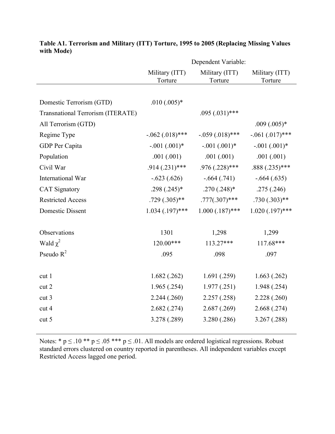|                                          | Dependent Variable:                           |                           |                   |  |
|------------------------------------------|-----------------------------------------------|---------------------------|-------------------|--|
|                                          | Military (ITT)<br>Torture                     | Military (ITT)<br>Torture | Military (ITT)    |  |
|                                          |                                               |                           | Torture           |  |
| Domestic Terrorism (GTD)                 | $.010(.005)*$                                 |                           |                   |  |
|                                          |                                               |                           |                   |  |
| <b>Transnational Terrorism (ITERATE)</b> | $.095(.031)$ ***                              |                           |                   |  |
| All Terrorism (GTD)                      |                                               |                           | $.009(.005)*$     |  |
| Regime Type                              | $-.062(.018)$ ***<br>$-.059(.018)$ ***        |                           | $-.061(.017)$ *** |  |
| GDP Per Capita                           | $-.001(.001)$ *<br>$-.001(.001)$ <sup>*</sup> |                           | $-.001(.001)$ *   |  |
| Population                               | .001(.001)<br>.001(.001)                      |                           | .001(.001)        |  |
| Civil War                                | $.914(.231)$ ***                              | $.976(.228)$ ***          | $.888(.235)$ ***  |  |
| International War                        | $-.623(.626)$<br>$-.664(.741)$                |                           | $-.664(.635)$     |  |
| <b>CAT Signatory</b>                     | $.298(.245)*$<br>$.270(.248)*$                |                           | .275(.246)        |  |
| <b>Restricted Access</b>                 | $.777(.307)$ ***<br>$.729(.305)$ **           |                           | $.730(.303)$ **   |  |
| <b>Domestic Dissent</b>                  | $1.034$ $(.197)$ ***                          | $1.000(.187)$ ***         |                   |  |
|                                          |                                               |                           |                   |  |
| Observations                             | 1301                                          | 1,298                     | 1,299             |  |
| Wald $\chi^2$                            | 120.00***                                     | 113.27***                 | $117.68***$       |  |
| Pseudo $R^2$                             | .095                                          | .098                      |                   |  |
|                                          |                                               |                           |                   |  |
| cut 1                                    | 1.682(.262)                                   | 1.691(.259)               | 1.663(.262)       |  |
| cut 2                                    | 1.965(.254)                                   | 1.977(.251)               | 1.948(.254)       |  |
| cut 3                                    | 2.244(.260)                                   | 2.257(.258)               | 2.228(.260)       |  |
| cut 4                                    | 2.682(.274)                                   | 2.687(.269)               | 2.668(.274)       |  |
| cut 5                                    | 3.278 (.289)                                  | 3.280 (.286)              | 3.267(.288)       |  |
|                                          |                                               |                           |                   |  |

# **Table A1. Terrorism and Military (ITT) Torture, 1995 to 2005 (Replacing Missing Values with Mode)**

Notes: \*  $p \le 0.10$  \*\*  $p \le 0.05$  \*\*\*  $p \le 0.01$ . All models are ordered logistical regressions. Robust standard errors clustered on country reported in parentheses. All independent variables except Restricted Access lagged one period.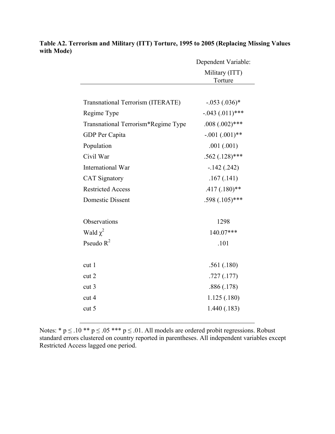|                                          | Dependent Variable:       |  |
|------------------------------------------|---------------------------|--|
|                                          | Military (ITT)<br>Torture |  |
|                                          |                           |  |
| <b>Transnational Terrorism (ITERATE)</b> | $-.053(.036)*$            |  |
| Regime Type                              | $-.043(.011)$ ***         |  |
| Transnational Terrorism*Regime Type      | $.008(.002)$ ***          |  |
| GDP Per Capita                           | $-.001(.001)$ **          |  |
| Population                               | .001(.001)                |  |
| Civil War                                | $.562(.128)$ ***          |  |
| International War                        | $-142(.242)$              |  |
| <b>CAT Signatory</b>                     | .167(.141)                |  |
| <b>Restricted Access</b>                 | $.417(.180)$ **           |  |
| <b>Domestic Dissent</b>                  | $.598(.105)$ ***          |  |
|                                          |                           |  |
| Observations                             | 1298                      |  |
| Wald $\chi^2$                            | 140.07***                 |  |
| Pseudo $R^2$                             | .101                      |  |
|                                          |                           |  |
| cut 1                                    | .561(.180)                |  |
| cut 2                                    | .727(.177)                |  |
| cut <sub>3</sub>                         | .886(.178)                |  |
| cut 4                                    | 1.125(.180)               |  |
| cut 5                                    | 1.440(.183)               |  |

**Table A2. Terrorism and Military (ITT) Torture, 1995 to 2005 (Replacing Missing Values with Mode)**

Notes: \*  $p \le 0.10$  \*\*  $p \le 0.05$  \*\*\*  $p \le 0.01$ . All models are ordered probit regressions. Robust standard errors clustered on country reported in parentheses. All independent variables except Restricted Access lagged one period.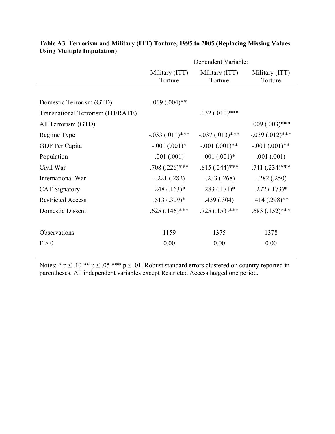|                                   | Dependent Variable:                                    |                                      |                           |  |
|-----------------------------------|--------------------------------------------------------|--------------------------------------|---------------------------|--|
|                                   | Military (ITT)<br>Military (ITT)<br>Torture<br>Torture |                                      | Military (ITT)<br>Torture |  |
|                                   |                                                        |                                      |                           |  |
| Domestic Terrorism (GTD)          | $.009(.004)$ **                                        |                                      |                           |  |
| Transnational Terrorism (ITERATE) |                                                        | $.032(.010)$ ***                     |                           |  |
| All Terrorism (GTD)               |                                                        |                                      | $.009(.003)$ ***          |  |
| Regime Type                       | $-.033(.011)$ ***                                      | $-.037(.013)$ ***                    | $-.039(.012)$ ***         |  |
| GDP Per Capita                    | $-.001(.001)$ <sup>*</sup>                             | $-.001(.001)$ **                     | $-.001(.001)$ **          |  |
| Population                        | .001(.001)                                             | $.001(.001)^*$                       | .001(.001)                |  |
| Civil War                         | $.708(.226)$ ***                                       | $.815(.244)$ ***                     | $.741(.234)$ ***          |  |
| International War                 | $-.221(.282)$                                          | $-.233(.268)$                        | $-.282(.250)$             |  |
| <b>CAT Signatory</b>              | $.248(.163)*$                                          | $.283(.171)*$                        | $.272(.173)*$             |  |
| <b>Restricted Access</b>          | $.513(.309)*$                                          | .439(.304)                           | $.414(.298)$ **           |  |
| Domestic Dissent                  | $.625(.146)$ ***                                       | $.683(.152)$ ***<br>$.725(.153)$ *** |                           |  |
|                                   |                                                        |                                      |                           |  |
| Observations                      | 1159                                                   | 1375                                 | 1378                      |  |
| F > 0                             | 0.00                                                   | 0.00                                 | 0.00                      |  |
|                                   |                                                        |                                      |                           |  |

## **Table A3. Terrorism and Military (ITT) Torture, 1995 to 2005 (Replacing Missing Values Using Multiple Imputation)**

Notes: \*  $p \le 0.10$  \*\*  $p \le 0.05$  \*\*\*  $p \le 0.01$ . Robust standard errors clustered on country reported in parentheses. All independent variables except Restricted Access lagged one period.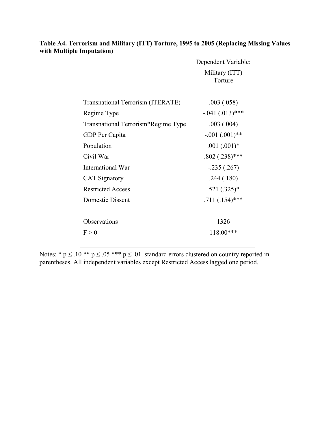|                                          | Dependent Variable:       |  |
|------------------------------------------|---------------------------|--|
|                                          | Military (ITT)<br>Torture |  |
|                                          |                           |  |
| <b>Transnational Terrorism (ITERATE)</b> | .003(.058)                |  |
| Regime Type                              | $-.041(.013)$ ***         |  |
| Transnational Terrorism*Regime Type      | .003(.004)                |  |
| GDP Per Capita                           | $-.001(.001)$ **          |  |
| Population                               | $.001(.001)$ *            |  |
| Civil War                                | $.802(.238)$ ***          |  |
| International War                        | $-.235(.267)$             |  |
| <b>CAT Signatory</b>                     | .244(.180)                |  |
| <b>Restricted Access</b>                 | $.521(.325)*$             |  |
| Domestic Dissent                         | $.711(.154)$ ***          |  |
|                                          |                           |  |
| Observations                             | 1326                      |  |
| F > 0                                    | $118.00***$               |  |

**Table A4. Terrorism and Military (ITT) Torture, 1995 to 2005 (Replacing Missing Values with Multiple Imputation)**

Notes: \*  $p \le 0.10$  \*\*  $p \le 0.05$  \*\*\*  $p \le 0.01$ . standard errors clustered on country reported in parentheses. All independent variables except Restricted Access lagged one period.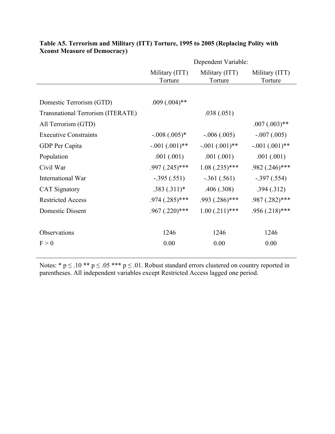|                                          |                                                        | Dependent Variable: |                           |
|------------------------------------------|--------------------------------------------------------|---------------------|---------------------------|
|                                          | Military (ITT)<br>Military (ITT)<br>Torture<br>Torture |                     | Military (ITT)<br>Torture |
|                                          |                                                        |                     |                           |
| Domestic Terrorism (GTD)                 | $.009(.004)$ **                                        |                     |                           |
| <b>Transnational Terrorism (ITERATE)</b> |                                                        | .038(.051)          |                           |
| All Terrorism (GTD)                      |                                                        |                     | $.007(.003)$ **           |
| <b>Executive Constraints</b>             | $-.008(.005)*$                                         | $-.006(.005)$       | $-.007(.005)$             |
| GDP Per Capita                           | $-.001(.001)$ **                                       | $-.001(.001)$ **    | $-.001(.001)$ **          |
| Population                               | .001(.001)                                             | .001(.001)          | .001(.001)                |
| Civil War                                | $.997(.245)$ ***                                       | $1.08$ $(.235)$ *** | $.982$ $(.246)$ ***       |
| International War                        | $-.395(.551)$                                          | $-.361(.561)$       | $-.397(.554)$             |
| <b>CAT Signatory</b>                     | $.383(.311)*$                                          | .406(.308)          | .394(.312)                |
| <b>Restricted Access</b>                 | $.974$ $(.285)$ ***                                    | $.993(.286)$ ***    | $.987 \,(.282)^{***}$     |
| Domestic Dissent                         | $.967$ $(.220)$ ***                                    | $1.00(.211)$ ***    | $.956(.218)$ ***          |
|                                          |                                                        |                     |                           |
| Observations                             | 1246                                                   | 1246                | 1246                      |
| F > 0                                    | 0.00                                                   | 0.00                | 0.00                      |

## **Table A5. Terrorism and Military (ITT) Torture, 1995 to 2005 (Replacing Polity with Xconst Measure of Democracy)**

Notes: \*  $p \le 0.10$  \*\*  $p \le 0.05$  \*\*\*  $p \le 0.01$ . Robust standard errors clustered on country reported in parentheses. All independent variables except Restricted Access lagged one period.